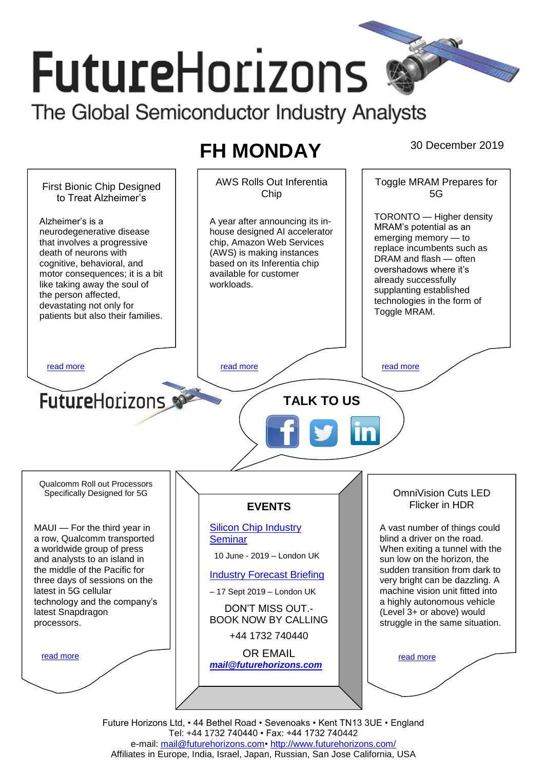# **FutureHorizons**

The Global Semiconductor Industry Analysts

## **FH MONDAY** 30 December 2019



Future Horizons Ltd, • 44 Bethel Road • Sevenoaks • Kent TN13 3UE • England Tel: +44 1732 740440 • Fax: +44 1732 740442 e-mail: [mail@futurehorizons.com•](../FH%20Monday%20-%202017/mail@futurehorizons.com)<http://www.futurehorizons.com/> Affiliates in Europe, India, Israel, Japan, Russian, San Jose California, USA